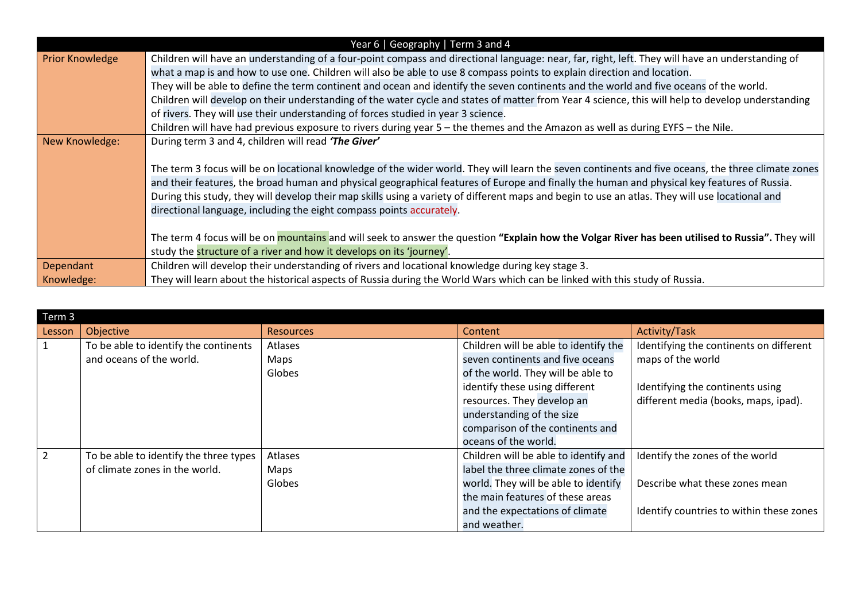| Year 6   Geography   Term 3 and 4 |                                                                                                                                                    |  |  |  |  |  |
|-----------------------------------|----------------------------------------------------------------------------------------------------------------------------------------------------|--|--|--|--|--|
| <b>Prior Knowledge</b>            | Children will have an understanding of a four-point compass and directional language: near, far, right, left. They will have an understanding of   |  |  |  |  |  |
|                                   | what a map is and how to use one. Children will also be able to use 8 compass points to explain direction and location.                            |  |  |  |  |  |
|                                   | They will be able to define the term continent and ocean and identify the seven continents and the world and five oceans of the world.             |  |  |  |  |  |
|                                   | Children will develop on their understanding of the water cycle and states of matter from Year 4 science, this will help to develop understanding  |  |  |  |  |  |
|                                   | of rivers. They will use their understanding of forces studied in year 3 science.                                                                  |  |  |  |  |  |
|                                   | Children will have had previous exposure to rivers during year 5 - the themes and the Amazon as well as during EYFS - the Nile.                    |  |  |  |  |  |
| New Knowledge:                    | During term 3 and 4, children will read 'The Giver'                                                                                                |  |  |  |  |  |
|                                   |                                                                                                                                                    |  |  |  |  |  |
|                                   | The term 3 focus will be on locational knowledge of the wider world. They will learn the seven continents and five oceans, the three climate zones |  |  |  |  |  |
|                                   | and their features, the broad human and physical geographical features of Europe and finally the human and physical key features of Russia.        |  |  |  |  |  |
|                                   | During this study, they will develop their map skills using a variety of different maps and begin to use an atlas. They will use locational and    |  |  |  |  |  |
|                                   | directional language, including the eight compass points accurately.                                                                               |  |  |  |  |  |
|                                   |                                                                                                                                                    |  |  |  |  |  |
|                                   | The term 4 focus will be on mountains and will seek to answer the question "Explain how the Volgar River has been utilised to Russia". They will   |  |  |  |  |  |
|                                   | study the structure of a river and how it develops on its 'journey'.                                                                               |  |  |  |  |  |
| Dependant                         | Children will develop their understanding of rivers and locational knowledge during key stage 3.                                                   |  |  |  |  |  |
| Knowledge:                        | They will learn about the historical aspects of Russia during the World Wars which can be linked with this study of Russia.                        |  |  |  |  |  |

| Term 3         |                                        |                  |                                       |                                          |  |  |  |
|----------------|----------------------------------------|------------------|---------------------------------------|------------------------------------------|--|--|--|
| Lesson         | Objective                              | <b>Resources</b> | Content                               | <b>Activity/Task</b>                     |  |  |  |
| $\mathbf{1}$   | To be able to identify the continents  | Atlases          | Children will be able to identify the | Identifying the continents on different  |  |  |  |
|                | and oceans of the world.               | Maps             | seven continents and five oceans      | maps of the world                        |  |  |  |
|                |                                        | Globes           | of the world. They will be able to    |                                          |  |  |  |
|                |                                        |                  | identify these using different        | Identifying the continents using         |  |  |  |
|                |                                        |                  | resources. They develop an            | different media (books, maps, ipad).     |  |  |  |
|                |                                        |                  | understanding of the size             |                                          |  |  |  |
|                |                                        |                  | comparison of the continents and      |                                          |  |  |  |
|                |                                        |                  | oceans of the world.                  |                                          |  |  |  |
| $\overline{2}$ | To be able to identify the three types | Atlases          | Children will be able to identify and | Identify the zones of the world          |  |  |  |
|                | of climate zones in the world.         | Maps             | label the three climate zones of the  |                                          |  |  |  |
|                |                                        | Globes           | world. They will be able to identify  | Describe what these zones mean           |  |  |  |
|                |                                        |                  | the main features of these areas      |                                          |  |  |  |
|                |                                        |                  | and the expectations of climate       | Identify countries to within these zones |  |  |  |
|                |                                        |                  | and weather.                          |                                          |  |  |  |